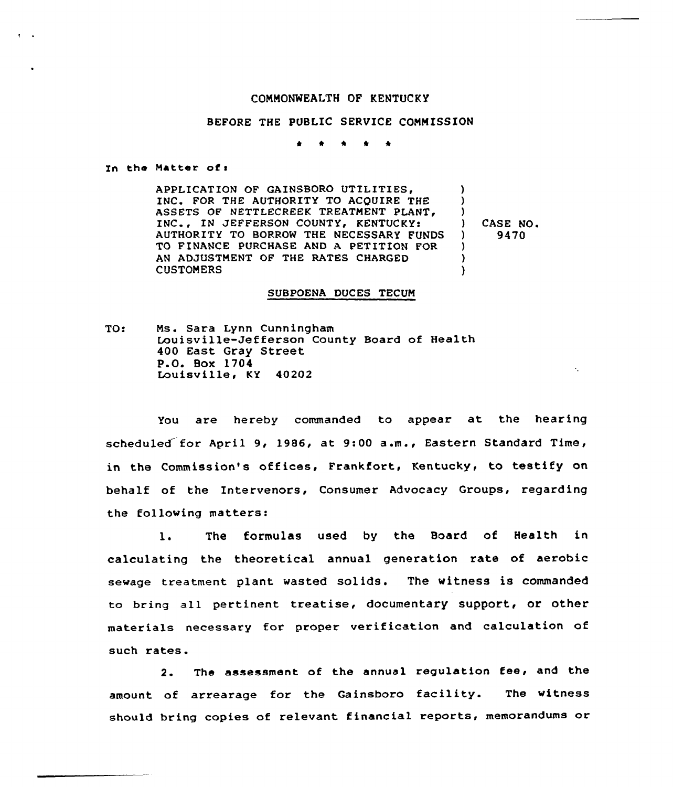## COMNONNEALTH OF KENTUCKY

## BEFORE THE PUBLIC SERVICE COMMISSION

 $\bullet$  1  $\bullet$  1  $\bullet$  1 **A** 

Zn the Natter of <sup>I</sup>

APPLICATION OF GAINSBORO UTILITIES, )<br>) INC. FOR THE AUTHORITY TO ACQUIRE THE ASSETS OF NETTLECREEK TREATMENT PLANT,  $\lambda$ INC., IN JEFFERSON COUNTY, KENTUCKY:  $\begin{array}{cc} 3 & CASE & NO. \\ 1 & 9470 \end{array}$ AUTHORITY TO BORROW THE NECESSARY FUNDS ) 9470 TO FINANCE PURCHASE AND A PETITION FOR ) AN ADJUSTMENT OF THE RATES CHARGED ) CUSTOMERS  $\lambda$ 

## SUBPOENA DUCES TECUM

 $\bullet$  .

Tot Ms. Sara Lynn Cunningham Louisville-Jefferson County Board of Health 400 East Gray Street P.O. Box 1704 Louisville, KY 40202

You are hereby commanded to appear at the hearing scheduled for April 9, 1986, at 9:00 a.m., Eastern Standard Time, in the Commission's offices, Frankfort, Kentucky, to testify on behalf of the Intervenors, Consumer Advocacy Groups, regarding the following matters:

l. The formulas used by the Board of Health in calculating the theoretical annual generation rate of aerobic sewage treatment plant wasted solids. The witness is commanded to bring all pertinent treatise, documentary support, or other materials necessary for proper verification and calculation of such rates.

2. The assessment of the annual regulation fee, and the amount of arrearage for the Gainsboro facility. The witness should bring copies of relevant financial reports, memorandums or